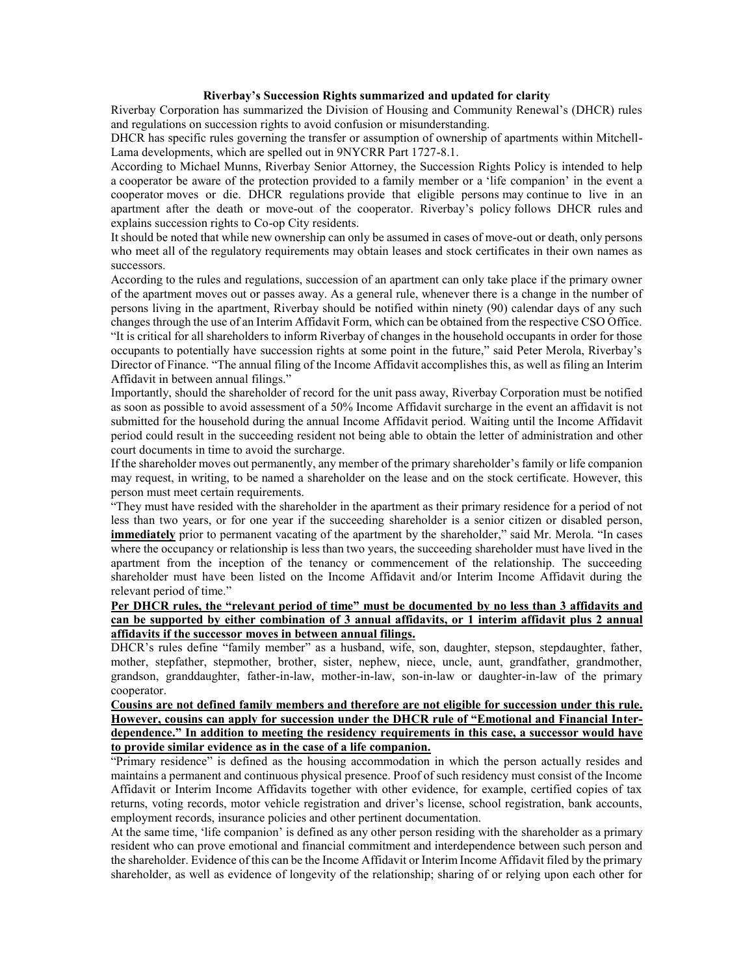## **Riverbay's Succession Rights summarized and updated for clarity**

Riverbay Corporation has summarized the Division of Housing and Community Renewal's (DHCR) rules and regulations on succession rights to avoid confusion or misunderstanding.

DHCR has specific rules governing the transfer or assumption of ownership of apartments within Mitchell-Lama developments, which are spelled out in 9NYCRR Part 1727-8.1.

According to Michael Munns, Riverbay Senior Attorney, the Succession Rights Policy is intended to help a cooperator be aware of the protection provided to a family member or a 'life companion' in the event a cooperator moves or die. DHCR regulations provide that eligible persons may continue to live in an apartment after the death or move-out of the cooperator. Riverbay's policy follows DHCR rules and explains succession rights to Co-op City residents.

It should be noted that while new ownership can only be assumed in cases of move-out or death, only persons who meet all of the regulatory requirements may obtain leases and stock certificates in their own names as successors.

According to the rules and regulations, succession of an apartment can only take place if the primary owner of the apartment moves out or passes away. As a general rule, whenever there is a change in the number of persons living in the apartment, Riverbay should be notified within ninety (90) calendar days of any such changes through the use of an Interim Affidavit Form, which can be obtained from the respective CSO Office. "It is critical for all shareholders to inform Riverbay of changes in the household occupants in order for those occupants to potentially have succession rights at some point in the future," said Peter Merola, Riverbay's Director of Finance. "The annual filing of the Income Affidavit accomplishes this, as well as filing an Interim Affidavit in between annual filings."

Importantly, should the shareholder of record for the unit pass away, Riverbay Corporation must be notified as soon as possible to avoid assessment of a 50% Income Affidavit surcharge in the event an affidavit is not submitted for the household during the annual Income Affidavit period. Waiting until the Income Affidavit period could result in the succeeding resident not being able to obtain the letter of administration and other court documents in time to avoid the surcharge.

If the shareholder moves out permanently, any member of the primary shareholder's family or life companion may request, in writing, to be named a shareholder on the lease and on the stock certificate. However, this person must meet certain requirements.

"They must have resided with the shareholder in the apartment as their primary residence for a period of not less than two years, or for one year if the succeeding shareholder is a senior citizen or disabled person, **immediately** prior to permanent vacating of the apartment by the shareholder," said Mr. Merola. "In cases where the occupancy or relationship is less than two years, the succeeding shareholder must have lived in the apartment from the inception of the tenancy or commencement of the relationship. The succeeding shareholder must have been listed on the Income Affidavit and/or Interim Income Affidavit during the relevant period of time."

## **Per DHCR rules, the "relevant period of time" must be documented by no less than 3 affidavits and can be supported by either combination of 3 annual affidavits, or 1 interim affidavit plus 2 annual affidavits if the successor moves in between annual filings.**

DHCR's rules define "family member" as a husband, wife, son, daughter, stepson, stepdaughter, father, mother, stepfather, stepmother, brother, sister, nephew, niece, uncle, aunt, grandfather, grandmother, grandson, granddaughter, father-in-law, mother-in-law, son-in-law or daughter-in-law of the primary cooperator.

## **Cousins are not defined family members and therefore are not eligible for succession under this rule. However, cousins can apply for succession under the DHCR rule of "Emotional and Financial Interdependence." In addition to meeting the residency requirements in this case, a successor would have to provide similar evidence as in the case of a life companion.**

"Primary residence" is defined as the housing accommodation in which the person actually resides and maintains a permanent and continuous physical presence. Proof of such residency must consist of the Income Affidavit or Interim Income Affidavits together with other evidence, for example, certified copies of tax returns, voting records, motor vehicle registration and driver's license, school registration, bank accounts, employment records, insurance policies and other pertinent documentation.

At the same time, 'life companion' is defined as any other person residing with the shareholder as a primary resident who can prove emotional and financial commitment and interdependence between such person and the shareholder. Evidence of this can be the Income Affidavit or Interim Income Affidavit filed by the primary shareholder, as well as evidence of longevity of the relationship; sharing of or relying upon each other for